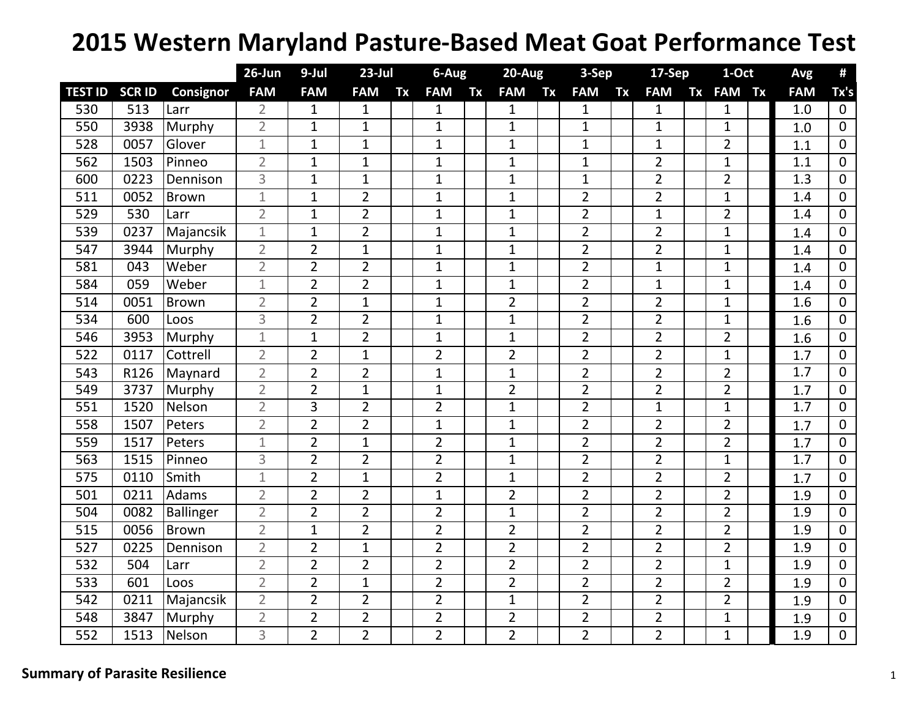## **2015 Western Maryland Pasture‐Based Meat Goat Performance Test**

|                |               |               | $26$ -Jun      | 9-Jul          | $23$ -Jul      |    | 6-Aug          |    | $20-Aug$       |    | 3-Sep          |    | $17-Sep$       |           | 1-Oct          |           | Avg        | #              |
|----------------|---------------|---------------|----------------|----------------|----------------|----|----------------|----|----------------|----|----------------|----|----------------|-----------|----------------|-----------|------------|----------------|
| <b>TEST ID</b> | <b>SCR ID</b> | Consignor     | <b>FAM</b>     | <b>FAM</b>     | <b>FAM</b>     | Tx | <b>FAM</b>     | Tx | <b>FAM</b>     | Tx | <b>FAM</b>     | Tx | <b>FAM</b>     | <b>Tx</b> | <b>FAM</b>     | <b>Tx</b> | <b>FAM</b> | Tx's           |
| 530            | 513           | Larr          | $\overline{2}$ | 1              | $\mathbf{1}$   |    | $\mathbf{1}$   |    | $\mathbf{1}$   |    | $\mathbf{1}$   |    | $\mathbf{1}$   |           | $\mathbf{1}$   |           | 1.0        | $\mathbf 0$    |
| 550            | 3938          | Murphy        | $\overline{2}$ | $\mathbf 1$    | $\mathbf{1}$   |    | $\mathbf{1}$   |    | $\mathbf{1}$   |    | $\mathbf{1}$   |    | $\mathbf{1}$   |           | $\mathbf{1}$   |           | 1.0        | $\mathbf 0$    |
| 528            | 0057          | Glover        | $\mathbf 1$    | $\mathbf 1$    | $\mathbf{1}$   |    | $\mathbf 1$    |    | $\mathbf{1}$   |    | $\mathbf{1}$   |    | $\mathbf{1}$   |           | $\overline{2}$ |           | 1.1        | $\mathbf{0}$   |
| 562            | 1503          | Pinneo        | $\overline{2}$ | $\mathbf 1$    | $\mathbf{1}$   |    | $\overline{1}$ |    | $\mathbf{1}$   |    | $\mathbf 1$    |    | $\overline{2}$ |           | $\mathbf{1}$   |           | 1.1        | $\mathbf{0}$   |
| 600            | 0223          | Dennison      | $\overline{3}$ | $\mathbf 1$    | $\mathbf{1}$   |    | $\mathbf{1}$   |    | $\mathbf{1}$   |    | $\mathbf{1}$   |    | $\overline{2}$ |           | $\overline{2}$ |           | 1.3        | $\Omega$       |
| 511            | 0052          | <b>Brown</b>  | $\mathbf 1$    | $\mathbf 1$    | $\overline{2}$ |    | $\overline{1}$ |    | $\mathbf{1}$   |    | $\overline{2}$ |    | $\overline{2}$ |           | $\mathbf{1}$   |           | 1.4        | 0              |
| 529            | 530           | Larr          | $\overline{2}$ | $\mathbf 1$    | $\overline{2}$ |    | $\mathbf{1}$   |    | $\mathbf{1}$   |    | $\overline{2}$ |    | $\mathbf{1}$   |           | $\overline{2}$ |           | 1.4        | 0              |
| 539            | 0237          | Majancsik     | $\mathbf{1}$   | $\mathbf{1}$   | $\overline{2}$ |    | $\mathbf{1}$   |    | $\mathbf{1}$   |    | $\overline{2}$ |    | $\overline{2}$ |           | $\mathbf{1}$   |           | 1.4        | 0              |
| 547            | 3944          | Murphy        | $\overline{2}$ | $\overline{2}$ | $\mathbf{1}$   |    | $\mathbf{1}$   |    | $\mathbf{1}$   |    | $\overline{2}$ |    | $\overline{2}$ |           | $\mathbf{1}$   |           | 1.4        | 0              |
| 581            | 043           | Weber         | $\overline{2}$ | $\overline{2}$ | $\overline{2}$ |    | $\mathbf{1}$   |    | $\mathbf{1}$   |    | $\overline{2}$ |    | $\mathbf{1}$   |           | $\mathbf{1}$   |           | 1.4        | $\mathbf{0}$   |
| 584            | 059           | Weber         | $\mathbf{1}$   | $\overline{2}$ | $\overline{2}$ |    | $\mathbf{1}$   |    | $\mathbf{1}$   |    | $\overline{2}$ |    | $\mathbf{1}$   |           | $\mathbf{1}$   |           | 1.4        | 0              |
| 514            | 0051          | <b>Brown</b>  | $\overline{2}$ | $\overline{2}$ | $\mathbf{1}$   |    | $\mathbf{1}$   |    | $\overline{2}$ |    | $\overline{2}$ |    | $\overline{2}$ |           | $\mathbf{1}$   |           | 1.6        | 0              |
| 534            | 600           | Loos          | 3              | $\overline{2}$ | $\overline{2}$ |    | $\mathbf{1}$   |    | $\mathbf{1}$   |    | $\overline{2}$ |    | $\overline{2}$ |           | $\mathbf{1}$   |           | 1.6        | 0              |
| 546            | 3953          | Murphy        | $\mathbf 1$    | $\mathbf{1}$   | $\overline{2}$ |    | $\mathbf{1}$   |    | $\mathbf{1}$   |    | $\overline{2}$ |    | $\overline{2}$ |           | $\overline{2}$ |           | 1.6        | $\mathbf{0}$   |
| 522            | 0117          | Cottrell      | $\overline{2}$ | $\overline{2}$ | $\mathbf{1}$   |    | $\overline{2}$ |    | $\overline{2}$ |    | $\overline{2}$ |    | $\overline{2}$ |           | $\mathbf{1}$   |           | 1.7        | $\mathbf{0}$   |
| 543            | R126          | Maynard       | $\overline{2}$ | $\overline{2}$ | $\overline{2}$ |    | $\mathbf{1}$   |    | $\mathbf{1}$   |    | $\overline{2}$ |    | $\overline{2}$ |           | $\overline{2}$ |           | 1.7        | $\mathbf{0}$   |
| 549            | 3737          | Murphy        | $\overline{2}$ | $\overline{2}$ | $\mathbf{1}$   |    | $\mathbf{1}$   |    | $\overline{2}$ |    | $\overline{2}$ |    | $\overline{2}$ |           | $\overline{2}$ |           | 1.7        | $\Omega$       |
| 551            | 1520          | Nelson        | $\overline{2}$ | 3              | $\overline{2}$ |    | $\overline{2}$ |    | $\mathbf 1$    |    | $\overline{2}$ |    | $\mathbf{1}$   |           | $\mathbf{1}$   |           | 1.7        | $\mathbf{0}$   |
| 558            | 1507          | Peters        | $\overline{2}$ | $\overline{2}$ | $\overline{2}$ |    | $\mathbf{1}$   |    | $\mathbf{1}$   |    | $\overline{2}$ |    | $\overline{2}$ |           | $\overline{2}$ |           | 1.7        | $\overline{0}$ |
| 559            | 1517          | Peters        | $\mathbf{1}$   | $\overline{2}$ | $\mathbf{1}$   |    | $\overline{2}$ |    | $\mathbf{1}$   |    | $\overline{2}$ |    | $\overline{2}$ |           | $\overline{2}$ |           | 1.7        | $\mathbf{0}$   |
| 563            | 1515          | Pinneo        | 3              | $\overline{2}$ | $\overline{2}$ |    | $\overline{2}$ |    | $\mathbf{1}$   |    | $\overline{2}$ |    | $\overline{2}$ |           | $\mathbf{1}$   |           | 1.7        | $\Omega$       |
| 575            | 0110          | Smith         | $\mathbf{1}$   | $\overline{2}$ | $\mathbf{1}$   |    | $\overline{2}$ |    | $\mathbf{1}$   |    | $\overline{2}$ |    | $\overline{2}$ |           | $\overline{2}$ |           | 1.7        | 0              |
| 501            | 0211          | Adams         | $\overline{2}$ | $\overline{2}$ | $\overline{2}$ |    | $\mathbf{1}$   |    | $\overline{2}$ |    | $\overline{2}$ |    | $\overline{2}$ |           | $\overline{2}$ |           | 1.9        | 0              |
| 504            | 0082          | Ballinger     | $\overline{2}$ | $\overline{2}$ | $\overline{2}$ |    | $\overline{2}$ |    | $\mathbf{1}$   |    | $\overline{2}$ |    | $\overline{2}$ |           | $\overline{2}$ |           | 1.9        | 0              |
| 515            | 0056          | <b>Brown</b>  | $\overline{2}$ | $\mathbf 1$    | $\overline{2}$ |    | $\overline{2}$ |    | $\overline{2}$ |    | $\overline{2}$ |    | $\overline{2}$ |           | $\overline{2}$ |           | 1.9        | 0              |
| 527            | 0225          | Dennison      | $\overline{2}$ | $\overline{2}$ | $\mathbf{1}$   |    | $\overline{2}$ |    | $\overline{2}$ |    | $\overline{2}$ |    | $\overline{2}$ |           | $\overline{2}$ |           | 1.9        | $\mathbf{0}$   |
| 532            | 504           | Larr          | $\overline{2}$ | $\overline{2}$ | $\overline{2}$ |    | $\overline{2}$ |    | $\overline{2}$ |    | $\overline{2}$ |    | $\overline{2}$ |           | $\mathbf{1}$   |           | 1.9        | $\mathbf{0}$   |
| 533            | 601           | Loos          | $\overline{2}$ | $\overline{2}$ | $\mathbf{1}$   |    | $\overline{2}$ |    | $\overline{2}$ |    | $\overline{2}$ |    | $\overline{2}$ |           | $\overline{2}$ |           | 1.9        | $\Omega$       |
| 542            | 0211          | Majancsik     | $\overline{2}$ | $\overline{2}$ | $\overline{2}$ |    | $\overline{2}$ |    | $\mathbf{1}$   |    | $\overline{2}$ |    | $\overline{2}$ |           | $\overline{2}$ |           | 1.9        | $\mathbf 0$    |
| 548            | 3847          | Murphy        | $\overline{2}$ | $\overline{2}$ | $\overline{2}$ |    | $\overline{2}$ |    | $\overline{2}$ |    | $\overline{2}$ |    | $\overline{2}$ |           | $\mathbf{1}$   |           | 1.9        | 0              |
| 552            | 1513          | <b>Nelson</b> | $\overline{3}$ | $\overline{2}$ | $\overline{2}$ |    | $\overline{2}$ |    | $\overline{2}$ |    | $\overline{2}$ |    | $\overline{2}$ |           | $\mathbf{1}$   |           | 1.9        | 0              |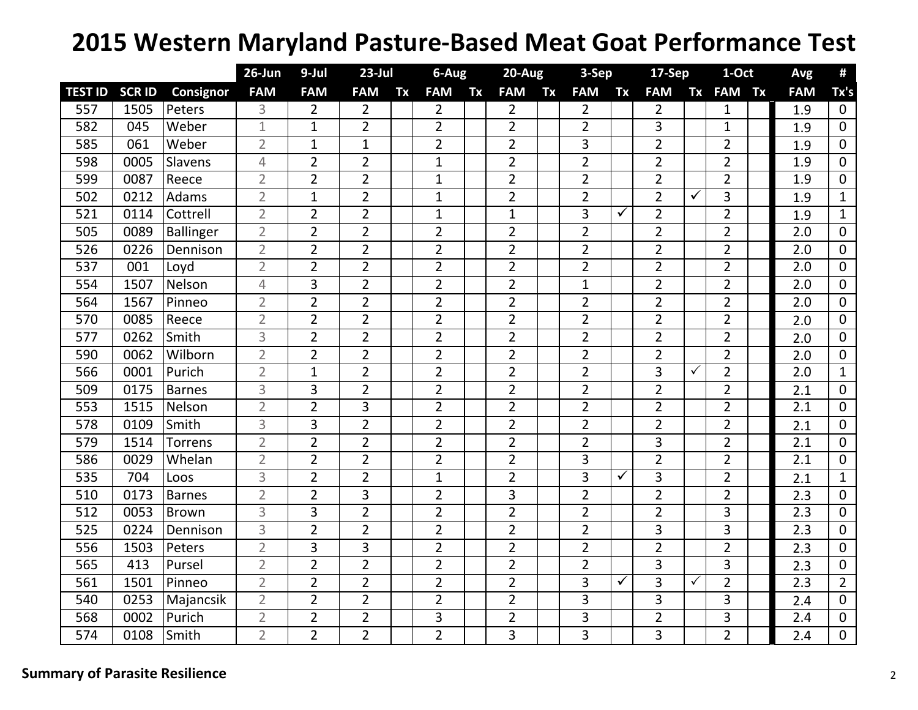## **2015 Western Maryland Pasture‐Based Meat Goat Performance Test**

|                |               |                | $26$ -Jun      | 9-Jul          | $23$ -Jul      |    | 6-Aug          |    | $20-Aug$       |           | 3-Sep          |    | 17-Sep         |              | 1-Oct          |           | Avg              | #              |
|----------------|---------------|----------------|----------------|----------------|----------------|----|----------------|----|----------------|-----------|----------------|----|----------------|--------------|----------------|-----------|------------------|----------------|
| <b>TEST ID</b> | <b>SCR ID</b> | Consignor      | <b>FAM</b>     | <b>FAM</b>     | <b>FAM</b>     | Tx | <b>FAM</b>     | Tx | <b>FAM</b>     | <b>Tx</b> | <b>FAM</b>     | Tx | <b>FAM</b>     | <b>Tx</b>    | <b>FAM</b>     | <b>Tx</b> | <b>FAM</b>       | Tx's           |
| 557            | 1505          | Peters         | 3              | 2              | $\overline{2}$ |    | $\overline{2}$ |    | $\overline{2}$ |           | $\overline{2}$ |    | $\overline{2}$ |              | $\mathbf{1}$   |           | 1.9              | $\mathbf{0}$   |
| 582            | 045           | Weber          | $\mathbf{1}$   | $\mathbf 1$    | $\overline{2}$ |    | $\overline{2}$ |    | $\overline{2}$ |           | $\overline{2}$ |    | 3              |              | $\mathbf{1}$   |           | 1.9              | 0              |
| 585            | 061           | Weber          | $\overline{2}$ | 1              | $\mathbf{1}$   |    | $\overline{2}$ |    | $\overline{2}$ |           | $\overline{3}$ |    | $\overline{2}$ |              | $\overline{2}$ |           | 1.9              | 0              |
| 598            | 0005          | Slavens        | 4              | $\overline{2}$ | $\overline{2}$ |    | $\overline{1}$ |    | $\overline{2}$ |           | $\overline{2}$ |    | $\overline{2}$ |              | $\overline{2}$ |           | 1.9              | $\mathbf{0}$   |
| 599            | 0087          | Reece          | $\overline{2}$ | $\overline{2}$ | $\overline{2}$ |    | $\mathbf{1}$   |    | $\overline{2}$ |           | $\overline{2}$ |    | $\overline{2}$ |              | $\overline{2}$ |           | 1.9              | $\Omega$       |
| 502            | 0212          | Adams          | $\overline{2}$ | $\mathbf 1$    | $\overline{2}$ |    | $\mathbf{1}$   |    | $\overline{2}$ |           | $\overline{2}$ |    | $\overline{2}$ | ✓            | 3              |           | 1.9              | $\mathbf{1}$   |
| 521            | 0114          | Cottrell       | $\overline{2}$ | $\overline{2}$ | $\overline{2}$ |    | $\mathbf{1}$   |    | $\mathbf{1}$   |           | 3              | ✓  | $\overline{2}$ |              | $\overline{2}$ |           | 1.9              | $\mathbf{1}$   |
| 505            | 0089          | Ballinger      | $\overline{2}$ | $\overline{2}$ | $\overline{2}$ |    | $\overline{2}$ |    | $\overline{2}$ |           | $\overline{2}$ |    | $\overline{2}$ |              | $\overline{2}$ |           | 2.0              | 0              |
| 526            | 0226          | Dennison       | $\overline{2}$ | $\overline{2}$ | $\overline{2}$ |    | $\overline{2}$ |    | $\overline{2}$ |           | $\overline{2}$ |    | $\overline{2}$ |              | $\overline{2}$ |           | 2.0              | 0              |
| 537            | 001           | Loyd           | $\overline{2}$ | 2              | $\overline{2}$ |    | $\overline{2}$ |    | $\overline{2}$ |           | $\overline{2}$ |    | $\overline{2}$ |              | $\overline{2}$ |           | 2.0              | $\mathbf{0}$   |
| 554            | 1507          | Nelson         | 4              | 3              | $\overline{2}$ |    | $\overline{2}$ |    | $\overline{2}$ |           | $\mathbf{1}$   |    | $\overline{2}$ |              | $\overline{2}$ |           | 2.0              | 0              |
| 564            | 1567          | Pinneo         | $\overline{2}$ | $\overline{2}$ | $\overline{2}$ |    | $\overline{2}$ |    | $\overline{2}$ |           | $\overline{2}$ |    | $\overline{2}$ |              | $\overline{2}$ |           | 2.0              | $\mathbf{0}$   |
| 570            | 0085          | Reece          | $\overline{2}$ | $\overline{2}$ | $\overline{2}$ |    | $\overline{2}$ |    | $\overline{2}$ |           | $\overline{2}$ |    | $\overline{2}$ |              | $\overline{2}$ |           | 2.0              | $\Omega$       |
| 577            | 0262          | Smith          | 3              | $\overline{2}$ | $\overline{2}$ |    | $\overline{2}$ |    | $\overline{2}$ |           | $\overline{2}$ |    | $\overline{2}$ |              | $\overline{2}$ |           | 2.0              | 0              |
| 590            | 0062          | Wilborn        | $\overline{2}$ | $\overline{2}$ | $\overline{2}$ |    | $\overline{2}$ |    | $\overline{2}$ |           | $\overline{2}$ |    | $\overline{2}$ |              | $\overline{2}$ |           | 2.0              | $\overline{0}$ |
| 566            | 0001          | Purich         | $\overline{2}$ | $\mathbf 1$    | $\overline{2}$ |    | $\overline{2}$ |    | $\overline{2}$ |           | $\overline{2}$ |    | 3              | $\checkmark$ | $\overline{2}$ |           | $\overline{2.0}$ | $\mathbf{1}$   |
| 509            | 0175          | <b>Barnes</b>  | 3              | 3              | $\overline{2}$ |    | $\overline{2}$ |    | $\overline{2}$ |           | $\overline{2}$ |    | $\overline{2}$ |              | $\overline{2}$ |           | 2.1              | $\mathbf{0}$   |
| 553            | 1515          | Nelson         | $\overline{2}$ | $\overline{2}$ | 3              |    | $\overline{2}$ |    | $\overline{2}$ |           | $\overline{2}$ |    | $\overline{2}$ |              | $\overline{2}$ |           | 2.1              | $\mathbf{0}$   |
| 578            | 0109          | Smith          | 3              | 3              | $\overline{2}$ |    | $\overline{2}$ |    | $\overline{2}$ |           | $\overline{2}$ |    | $\overline{2}$ |              | $\overline{2}$ |           | 2.1              | $\mathbf{0}$   |
| 579            | 1514          | <b>Torrens</b> | $\overline{2}$ | $\overline{2}$ | $\overline{2}$ |    | $\overline{2}$ |    | $\overline{2}$ |           | $\overline{2}$ |    | 3              |              | $\overline{2}$ |           | $\overline{2.1}$ | $\Omega$       |
| 586            | 0029          | Whelan         | $\overline{2}$ | $\overline{2}$ | $\overline{2}$ |    | $\overline{2}$ |    | $\overline{2}$ |           | 3              |    | $\overline{2}$ |              | $\overline{2}$ |           | 2.1              | 0              |
| 535            | 704           | Loos           | 3              | $\overline{2}$ | $\overline{2}$ |    | $\mathbf{1}$   |    | $\overline{2}$ |           | 3              | ✓  | 3              |              | $\overline{2}$ |           | 2.1              | $\mathbf{1}$   |
| 510            | 0173          | <b>Barnes</b>  | $\overline{2}$ | $\overline{2}$ | 3              |    | $\overline{2}$ |    | 3              |           | $\overline{2}$ |    | $\overline{2}$ |              | $\overline{2}$ |           | 2.3              | 0              |
| 512            | 0053          | <b>Brown</b>   | $\overline{3}$ | 3              | $\overline{2}$ |    | $\overline{2}$ |    | $\overline{2}$ |           | $\overline{2}$ |    | $\overline{2}$ |              | 3              |           | 2.3              | $\mathbf{0}$   |
| 525            | 0224          | Dennison       | 3              | $\overline{2}$ | $\overline{2}$ |    | $\overline{2}$ |    | $\overline{2}$ |           | $\overline{2}$ |    | 3              |              | 3              |           | 2.3              | $\mathbf{0}$   |
| 556            | 1503          | Peters         | $\overline{2}$ | 3              | 3              |    | $\overline{2}$ |    | $\overline{2}$ |           | $\overline{2}$ |    | $\overline{2}$ |              | $\overline{2}$ |           | 2.3              | $\mathbf{0}$   |
| 565            | 413           | Pursel         | $\overline{2}$ | $\overline{2}$ | $\overline{2}$ |    | $\overline{2}$ |    | $\overline{2}$ |           | $\overline{2}$ |    | 3              |              | 3              |           | 2.3              | $\mathbf 0$    |
| 561            | 1501          | Pinneo         | $\overline{2}$ | $\overline{2}$ | $\overline{2}$ |    | $\overline{2}$ |    | $\overline{2}$ |           | $\overline{3}$ | ✓  | 3              | $\checkmark$ | $\overline{2}$ |           | $\overline{2.3}$ | $\overline{2}$ |
| 540            | 0253          | Majancsik      | $\overline{2}$ | $\overline{2}$ | $\overline{2}$ |    | $\overline{2}$ |    | $\overline{2}$ |           | 3              |    | 3              |              | 3              |           | 2.4              | 0              |
| 568            | 0002          | Purich         | $\overline{2}$ | $\overline{2}$ | $\overline{2}$ |    | 3              |    | $\overline{2}$ |           | 3              |    | $\overline{2}$ |              | 3              |           | 2.4              | $\mathbf{0}$   |
| 574            | 0108          | Smith          | $\overline{2}$ | $\overline{2}$ | $\overline{2}$ |    | $\overline{2}$ |    | 3              |           | 3              |    | 3              |              | $\overline{2}$ |           | 2.4              | 0              |